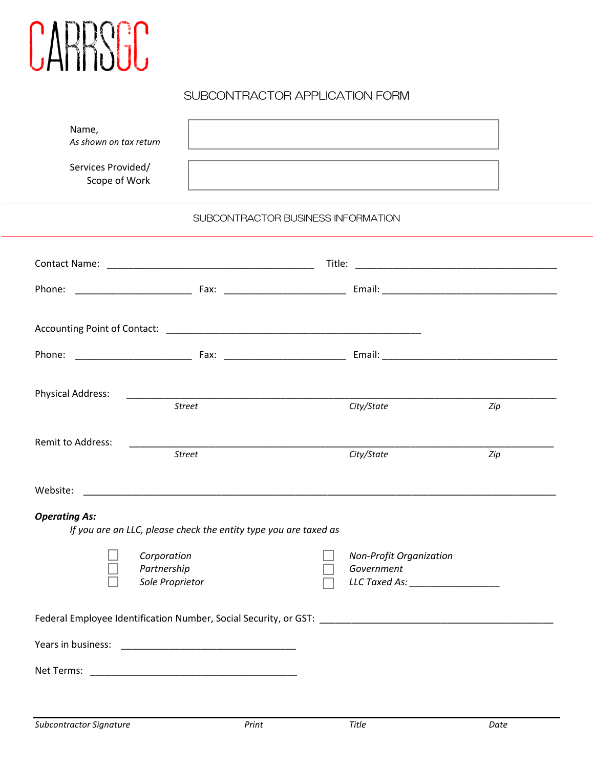

# SUBCONTRACTOR APPLICATION FORM

| Name,<br>As shown on tax return     |                                                                  | and the control of the control of the control of the control of the control of the control of the control of the |                                       |     |
|-------------------------------------|------------------------------------------------------------------|------------------------------------------------------------------------------------------------------------------|---------------------------------------|-----|
| Services Provided/<br>Scope of Work |                                                                  | and the control of the control of the control of the control of the control of the control of the control of the |                                       |     |
|                                     |                                                                  | SUBCONTRACTOR BUSINESS INFORMATION                                                                               |                                       |     |
|                                     |                                                                  |                                                                                                                  |                                       |     |
|                                     |                                                                  |                                                                                                                  |                                       |     |
|                                     |                                                                  |                                                                                                                  |                                       |     |
|                                     |                                                                  |                                                                                                                  |                                       |     |
| <b>Physical Address:</b>            | <b>Street</b>                                                    | City/State                                                                                                       |                                       | Zip |
| <b>Remit to Address:</b>            | <b>Street</b>                                                    | City/State                                                                                                       |                                       | Zip |
|                                     |                                                                  |                                                                                                                  |                                       |     |
| <b>Operating As:</b>                | If you are an LLC, please check the entity type you are taxed as |                                                                                                                  |                                       |     |
|                                     | Corporation<br>Partnership<br>Sole Proprietor                    |                                                                                                                  | Non-Profit Organization<br>Government |     |
|                                     |                                                                  |                                                                                                                  |                                       |     |
|                                     |                                                                  |                                                                                                                  |                                       |     |
|                                     |                                                                  |                                                                                                                  |                                       |     |
|                                     |                                                                  |                                                                                                                  |                                       |     |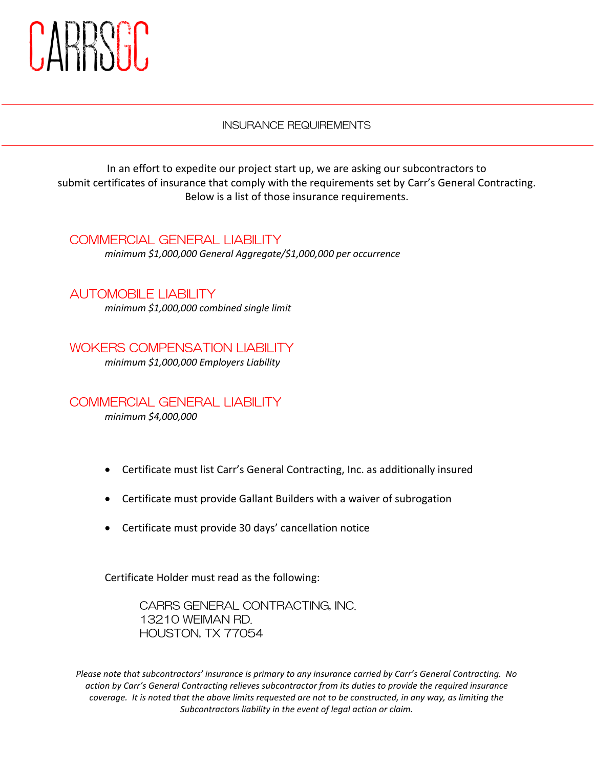

#### INSURANCE REQUIREMENTS

In an effort to expedite our project start up, we are asking our subcontractors to submit certificates of insurance that comply with the requirements set by Carr's General Contracting. Below is a list of those insurance requirements.

### COMMERCIAL GENERAL LIABILITY

*minimum \$1,000,000 General Aggregate/\$1,000,000 per occurrence*

## AUTOMOBILE LIABILITY

*minimum \$1,000,000 combined single limit*

WOKERS COMPENSATION LIABILITY *minimum \$1,000,000 Employers Liability*

COMMERCIAL GENERAL LIABILITY *minimum \$4,000,000* 

- Certificate must list Carr's General Contracting, Inc. as additionally insured
- Certificate must provide Gallant Builders with a waiver of subrogation
- Certificate must provide 30 days' cancellation notice

Certificate Holder must read as the following:

CARRS GENERAL CONTRACTING, INC. 13210 WEIMAN RD. HOUSTON, TX 77054

*Please note that subcontractors' insurance is primary to any insurance carried by Carr's General Contracting. No action by Carr's General Contracting relieves subcontractor from its duties to provide the required insurance coverage. It is noted that the above limits requested are not to be constructed, in any way, as limiting the Subcontractors liability in the event of legal action or claim.*